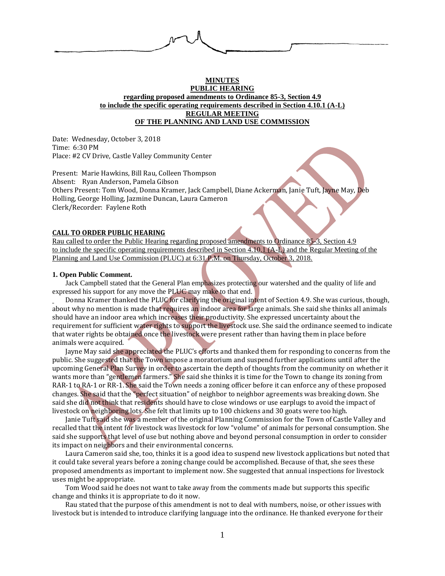

# **MINUTES PUBLIC HEARING regarding proposed amendments to Ordinance 85-3, Section 4.9 to include the specific operating requirements described in Section 4.10.1 (A-L) REGULAR MEETING OF THE PLANNING AND LAND USE COMMISSION**

Date: Wednesday, October 3, 2018 Time: 6:30 PM Place: #2 CV Drive, Castle Valley Community Center

Present: Marie Hawkins, Bill Rau, Colleen Thompson Absent: Ryan Anderson, Pamela Gibson Others Present: Tom Wood, Donna Kramer, Jack Campbell, Diane Ackerman, Janie Tuft, Jayne May, Deb Holling, George Holling, Jazmine Duncan, Laura Cameron Clerk/Recorder: Faylene Roth

#### **CALL TO ORDER PUBLIC HEARING**

Rau called to order the Public Hearing regarding proposed amendments to Ordinance 85-3, Section 4.9 to include the specific operating requirements described in Section 4.10.1 (A-L) and the Regular Meeting of the Planning and Land Use Commission (PLUC) at 6:31 P.M. on Thursday, October 3, 2018.

#### **1. Open Public Comment.**

Jack Campbell stated that the General Plan emphasizes protecting our watershed and the quality of life and expressed his support for any move the PLUC may make to that end.

Donna Kramer thanked the PLUC for clarifying the original intent of Section 4.9. She was curious, though, about why no mention is made that requires an indoor area for large animals. She said she thinks all animals should have an indoor area which increases their productivity. She expressed uncertainty about the requirement for sufficient water rights to support the livestock use. She said the ordinance seemed to indicate that water rights be obtained once the livestock were present rather than having them in place before animals were acquired.

Jayne May said she appreciated the PLUC's efforts and thanked them for responding to concerns from the public. She suggested that the Town impose a moratorium and suspend further applications until after the upcoming General Plan Survey in order to ascertain the depth of thoughts from the community on whether it wants more than "gentlemen farmers." She said she thinks it is time for the Town to change its zoning from RAR-1 to RA-1 or RR-1. She said the Town needs a zoning officer before it can enforce any of these proposed changes. She said that the "perfect situation" of neighbor to neighbor agreements was breaking down. She said she did not think that residents should have to close windows or use earplugs to avoid the impact of livestock on neighboring lots. She felt that limits up to 100 chickens and 30 goats were too high.

Janie Tuft said she was a member of the original Planning Commission for the Town of Castle Valley and recalled that the intent for livestock was livestock for low "volume" of animals for personal consumption. She said she supports that level of use but nothing above and beyond personal consumption in order to consider its impact on neighbors and their environmental concerns.

Laura Cameron said she, too, thinks it is a good idea to suspend new livestock applications but noted that it could take several years before a zoning change could be accomplished. Because of that, she sees these proposed amendments as important to implement now. She suggested that annual inspections for livestock uses might be appropriate.

Tom Wood said he does not want to take away from the comments made but supports this specific change and thinks it is appropriate to do it now.

Rau stated that the purpose of this amendment is not to deal with numbers, noise, or other issues with livestock but is intended to introduce clarifying language into the ordinance. He thanked everyone for their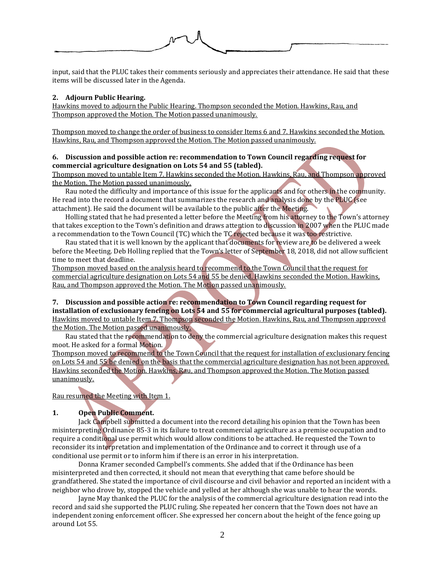input, said that the PLUC takes their comments seriously and appreciates their attendance. He said that these items will be discussed later in the Agenda.

### **2. Adjourn Public Hearing.**

Hawkins moved to adjourn the Public Hearing. Thompson seconded the Motion. Hawkins, Rau, and Thompson approved the Motion. The Motion passed unanimously.

Thompson moved to change the order of business to consider Items 6 and 7. Hawkins seconded the Motion. Hawkins, Rau, and Thompson approved the Motion. The Motion passed unanimously.

# **6. Discussion and possible action re: recommendation to Town Council regarding request for commercial agriculture designation on Lots 54 and 55 (tabled).**

Thompson moved to untable Item 7. Hawkins seconded the Motion. Hawkins, Rau, and Thompson approved the Motion. The Motion passed unanimously.

Rau noted the difficulty and importance of this issue for the applicants and for others in the community. He read into the record a document that summarizes the research and analysis done by the PLUC (see attachment). He said the document will be available to the public after the Meeting.

Holling stated that he had presented a letter before the Meeting from his attorney to the Town's attorney that takes exception to the Town's definition and draws attention to discussion in 2007 when the PLUC made a recommendation to the Town Council (TC) which the TC rejected because it was too restrictive.

Rau stated that it is well known by the applicant that documents for review are to be delivered a week before the Meeting. Deb Holling replied that the Town's letter of September 18, 2018, did not allow sufficient time to meet that deadline.

Thompson moved based on the analysis heard to recommend to the Town Council that the request for commercial agriculture designation on Lots 54 and 55 be denied. Hawkins seconded the Motion. Hawkins, Rau, and Thompson approved the Motion. The Motion passed unanimously.

# **7. Discussion and possible action re: recommendation to Town Council regarding request for**

**installation of exclusionary fencing on Lots 54 and 55 for commercial agricultural purposes (tabled).** Hawkins moved to untable Item 7. Thompson seconded the Motion. Hawkins, Rau, and Thompson approved the Motion. The Motion passed unanimously.

Rau stated that the recommendation to deny the commercial agriculture designation makes this request moot. He asked for a formal Motion.

Thompson moved to recommend to the Town Council that the request for installation of exclusionary fencing on Lots 54 and 55 be denied on the basis that the commercial agriculture designation has not been approved. Hawkins seconded the Motion. Hawkins, Rau, and Thompson approved the Motion. The Motion passed unanimously.

Rau resumed the Meeting with Item 1.

# **1. Open Public Comment.**

Jack Campbell submitted a document into the record detailing his opinion that the Town has been misinterpreting Ordinance 85-3 in its failure to treat commercial agriculture as a premise occupation and to require a conditional use permit which would allow conditions to be attached. He requested the Town to reconsider its interpretation and implementation of the Ordinance and to correct it through use of a conditional use permit or to inform him if there is an error in his interpretation.

Donna Kramer seconded Campbell's comments. She added that if the Ordinance has been misinterpreted and then corrected, it should not mean that everything that came before should be grandfathered. She stated the importance of civil discourse and civil behavior and reported an incident with a neighbor who drove by, stopped the vehicle and yelled at her although she was unable to hear the words.

Jayne May thanked the PLUC for the analysis of the commercial agriculture designation read into the record and said she supported the PLUC ruling. She repeated her concern that the Town does not have an independent zoning enforcement officer. She expressed her concern about the height of the fence going up around Lot 55.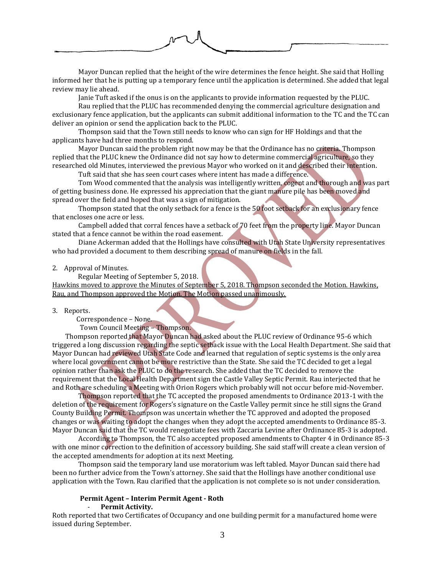

Mayor Duncan replied that the height of the wire determines the fence height. She said that Holling informed her that he is putting up a temporary fence until the application is determined. She added that legal review may lie ahead.

Janie Tuft asked if the onus is on the applicants to provide information requested by the PLUC.

Rau replied that the PLUC has recommended denying the commercial agriculture designation and exclusionary fence application, but the applicants can submit additional information to the TC and the TC can deliver an opinion or send the application back to the PLUC.

Thompson said that the Town still needs to know who can sign for HF Holdings and that the applicants have had three months to respond.

Mayor Duncan said the problem right now may be that the Ordinance has no criteria. Thompson replied that the PLUC knew the Ordinance did not say how to determine commercial agriculture, so they researched old Minutes, interviewed the previous Mayor who worked on it and described their intention.

Tuft said that she has seen court cases where intent has made a difference.

Tom Wood commented that the analysis was intelligently written, cogent and thorough and was part of getting business done. He expressed his appreciation that the giant manure pile has been moved and spread over the field and hoped that was a sign of mitigation.

Thompson stated that the only setback for a fence is the 50 foot setback for an exclusionary fence that encloses one acre or less.

Campbell added that corral fences have a setback of 70 feet from the property line. Mayor Duncan stated that a fence cannot be within the road easement.

Diane Ackerman added that the Hollings have consulted with Utah State University representatives who had provided a document to them describing spread of manure on fields in the fall.

#### 2. Approval of Minutes.

 Regular Meeting of September 5, 2018. Hawkins moved to approve the Minutes of September 5, 2018. Thompson seconded the Motion. Hawkins, Rau, and Thompson approved the Motion. The Motion passed unanimously.

3. Reports.

Correspondence – None.

Town Council Meeting – Thompson.

Thompson reported that Mayor Duncan had asked about the PLUC review of Ordinance 95-6 which triggered a long discussion regarding the septic setback issue with the Local Health Department. She said that Mayor Duncan had reviewed Utah State Code and learned that regulation of septic systems is the only area where local government cannot be more restrictive than the State. She said the TC decided to get a legal opinion rather than ask the PLUC to do the research. She added that the TC decided to remove the requirement that the Local Health Department sign the Castle Valley Septic Permit. Rau interjected that he and Roth are scheduling a Meeting with Orion Rogers which probably will not occur before mid-November.

Thompson reported that the TC accepted the proposed amendments to Ordinance 2013-1 with the deletion of the requirement for Rogers's signature on the Castle Valley permit since he still signs the Grand County Building Permit. Thompson was uncertain whether the TC approved and adopted the proposed changes or was waiting to adopt the changes when they adopt the accepted amendments to Ordinance 85-3. Mayor Duncan said that the TC would renegotiate fees with Zaccaria Levine after Ordinance 85-3 is adopted.

According to Thompson, the TC also accepted proposed amendments to Chapter 4 in Ordinance 85-3 with one minor correction to the definition of accessory building. She said staff will create a clean version of the accepted amendments for adoption at its next Meeting.

Thompson said the temporary land use moratorium was left tabled. Mayor Duncan said there had been no further advice from the Town's attorney. She said that the Hollings have another conditional use application with the Town. Rau clarified that the application is not complete so is not under consideration.

# **Permit Agent – Interim Permit Agent - Roth**

- **Permit Activity.**

Roth reported that two Certificates of Occupancy and one building permit for a manufactured home were issued during September.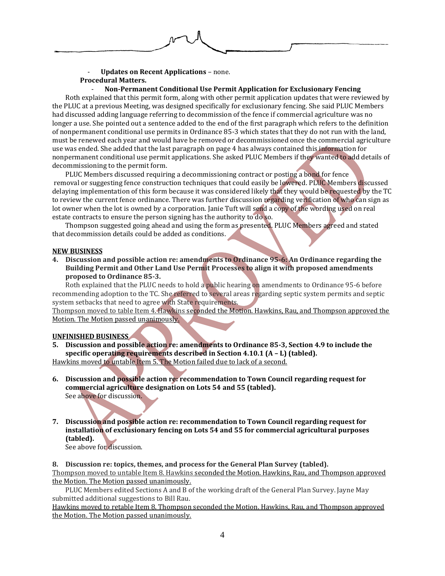

# - **Updates on Recent Applications** – none. **Procedural Matters.**

# - **Non-Permanent Conditional Use Permit Application for Exclusionary Fencing**

Roth explained that this permit form, along with other permit application updates that were reviewed by the PLUC at a previous Meeting, was designed specifically for exclusionary fencing. She said PLUC Members had discussed adding language referring to decommission of the fence if commercial agriculture was no longer a use. She pointed out a sentence added to the end of the first paragraph which refers to the definition of nonpermanent conditional use permits in Ordinance 85-3 which states that they do not run with the land, must be renewed each year and would have be removed or decommissioned once the commercial agriculture use was ended. She added that the last paragraph on page 4 has always contained this information for nonpermanent conditional use permit applications. She asked PLUC Members if they wanted to add details of decommissioning to the permit form.

PLUC Members discussed requiring a decommissioning contract or posting a bond for fence removal or suggesting fence construction techniques that could easily be lowered. PLUC Members discussed delaying implementation of this form because it was considered likely that they would be requested by the TC to review the current fence ordinance. There was further discussion regarding verification of who can sign as lot owner when the lot is owned by a corporation. Janie Tuft will send a copy of the wording used on real estate contracts to ensure the person signing has the authority to do so.

Thompson suggested going ahead and using the form as presented. PLUC Members agreed and stated that decommission details could be added as conditions.

#### **NEW BUSINESS**

**4. Discussion and possible action re: amendments to Ordinance 95-6: An Ordinance regarding the Building Permit and Other Land Use Permit Processes to align it with proposed amendments proposed to Ordinance 85-3.**

Roth explained that the PLUC needs to hold a public hearing on amendments to Ordinance 95-6 before recommending adoption to the TC. She referred to several areas regarding septic system permits and septic system setbacks that need to agree with State requirements.

Thompson moved to table Item 4. Hawkins seconded the Motion. Hawkins, Rau, and Thompson approved the Motion. The Motion passed unanimously.

# **UNFINISHED BUSINESS**

**5. Discussion and possible action re: amendments to Ordinance 85-3, Section 4.9 to include the specific operating requirements described in Section 4.10.1 (A – L) (tabled).**

Hawkins moved to untable Item 5. The Motion failed due to lack of a second.

- **6. Discussion and possible action re: recommendation to Town Council regarding request for commercial agriculture designation on Lots 54 and 55 (tabled).** See above for discussion.
- **7. Discussion and possible action re: recommendation to Town Council regarding request for installation of exclusionary fencing on Lots 54 and 55 for commercial agricultural purposes (tabled).**

See above for discussion.

**8. Discussion re: topics, themes, and process for the General Plan Survey (tabled).**

Thompson moved to untable Item 8. Hawkins seconded the Motion. Hawkins, Rau, and Thompson approved the Motion. The Motion passed unanimously.

PLUC Members edited Sections A and B of the working draft of the General Plan Survey. Jayne May submitted additional suggestions to Bill Rau.

Hawkins moved to retable Item 8. Thompson seconded the Motion. Hawkins, Rau, and Thompson approved the Motion. The Motion passed unanimously.